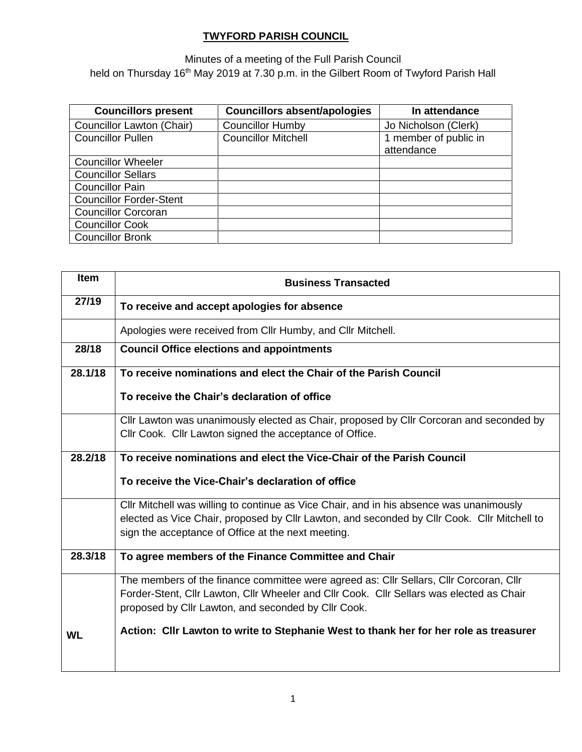#### **TWYFORD PARISH COUNCIL**

Minutes of a meeting of the Full Parish Council held on Thursday 16<sup>th</sup> May 2019 at 7.30 p.m. in the Gilbert Room of Twyford Parish Hall

| <b>Councillors present</b>     | <b>Councillors absent/apologies</b> | In attendance                       |
|--------------------------------|-------------------------------------|-------------------------------------|
| Councillor Lawton (Chair)      | <b>Councillor Humby</b>             | Jo Nicholson (Clerk)                |
| <b>Councillor Pullen</b>       | <b>Councillor Mitchell</b>          | 1 member of public in<br>attendance |
| <b>Councillor Wheeler</b>      |                                     |                                     |
| <b>Councillor Sellars</b>      |                                     |                                     |
| <b>Councillor Pain</b>         |                                     |                                     |
| <b>Councillor Forder-Stent</b> |                                     |                                     |
| <b>Councillor Corcoran</b>     |                                     |                                     |
| <b>Councillor Cook</b>         |                                     |                                     |
| <b>Councillor Bronk</b>        |                                     |                                     |

| <b>Item</b> | <b>Business Transacted</b>                                                                  |
|-------------|---------------------------------------------------------------------------------------------|
| 27/19       | To receive and accept apologies for absence                                                 |
|             | Apologies were received from Cllr Humby, and Cllr Mitchell.                                 |
| 28/18       | <b>Council Office elections and appointments</b>                                            |
| 28.1/18     | To receive nominations and elect the Chair of the Parish Council                            |
|             | To receive the Chair's declaration of office                                                |
|             | Cllr Lawton was unanimously elected as Chair, proposed by Cllr Corcoran and seconded by     |
|             | Cllr Cook. Cllr Lawton signed the acceptance of Office.                                     |
| 28.2/18     | To receive nominations and elect the Vice-Chair of the Parish Council                       |
|             | To receive the Vice-Chair's declaration of office                                           |
|             | Cllr Mitchell was willing to continue as Vice Chair, and in his absence was unanimously     |
|             | elected as Vice Chair, proposed by Cllr Lawton, and seconded by Cllr Cook. Cllr Mitchell to |
|             | sign the acceptance of Office at the next meeting.                                          |
| 28.3/18     | To agree members of the Finance Committee and Chair                                         |
|             | The members of the finance committee were agreed as: Cllr Sellars, Cllr Corcoran, Cllr      |
|             | Forder-Stent, Cllr Lawton, Cllr Wheeler and Cllr Cook. Cllr Sellars was elected as Chair    |
|             | proposed by Cllr Lawton, and seconded by Cllr Cook.                                         |
| <b>WL</b>   | Action: Cllr Lawton to write to Stephanie West to thank her for her role as treasurer       |
|             |                                                                                             |
|             |                                                                                             |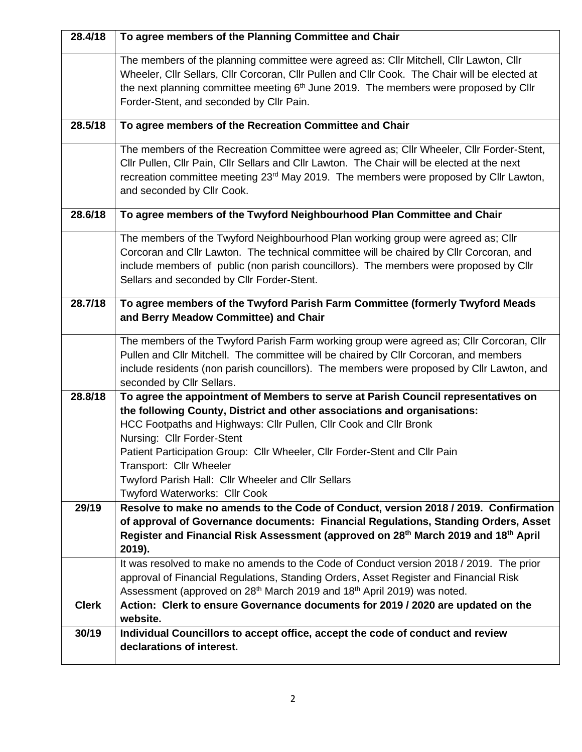| 28.4/18      | To agree members of the Planning Committee and Chair                                                                                                                                    |
|--------------|-----------------------------------------------------------------------------------------------------------------------------------------------------------------------------------------|
|              | The members of the planning committee were agreed as: Cllr Mitchell, Cllr Lawton, Cllr<br>Wheeler, Cllr Sellars, Cllr Corcoran, Cllr Pullen and Cllr Cook. The Chair will be elected at |
|              | the next planning committee meeting $6th$ June 2019. The members were proposed by Cllr                                                                                                  |
|              | Forder-Stent, and seconded by Cllr Pain.                                                                                                                                                |
| 28.5/18      | To agree members of the Recreation Committee and Chair                                                                                                                                  |
|              |                                                                                                                                                                                         |
|              | The members of the Recreation Committee were agreed as; Cllr Wheeler, Cllr Forder-Stent,                                                                                                |
|              | Cllr Pullen, Cllr Pain, Cllr Sellars and Cllr Lawton. The Chair will be elected at the next                                                                                             |
|              | recreation committee meeting 23 <sup>rd</sup> May 2019. The members were proposed by Cllr Lawton,                                                                                       |
|              | and seconded by Cllr Cook.                                                                                                                                                              |
| 28.6/18      | To agree members of the Twyford Neighbourhood Plan Committee and Chair                                                                                                                  |
|              | The members of the Twyford Neighbourhood Plan working group were agreed as; Cllr                                                                                                        |
|              | Corcoran and Cllr Lawton. The technical committee will be chaired by Cllr Corcoran, and                                                                                                 |
|              | include members of public (non parish councillors). The members were proposed by Cllr                                                                                                   |
|              | Sellars and seconded by Cllr Forder-Stent.                                                                                                                                              |
| 28.7/18      | To agree members of the Twyford Parish Farm Committee (formerly Twyford Meads                                                                                                           |
|              | and Berry Meadow Committee) and Chair                                                                                                                                                   |
|              | The members of the Twyford Parish Farm working group were agreed as; Cllr Corcoran, Cllr                                                                                                |
|              | Pullen and Cllr Mitchell. The committee will be chaired by Cllr Corcoran, and members                                                                                                   |
|              | include residents (non parish councillors). The members were proposed by Cllr Lawton, and                                                                                               |
|              | seconded by Cllr Sellars.                                                                                                                                                               |
| 28.8/18      | To agree the appointment of Members to serve at Parish Council representatives on                                                                                                       |
|              | the following County, District and other associations and organisations:                                                                                                                |
|              | HCC Footpaths and Highways: Cllr Pullen, Cllr Cook and Cllr Bronk<br>Nursing: Cllr Forder-Stent                                                                                         |
|              | Patient Participation Group: Cllr Wheeler, Cllr Forder-Stent and Cllr Pain                                                                                                              |
|              | Transport: Cllr Wheeler                                                                                                                                                                 |
|              | Twyford Parish Hall: Cllr Wheeler and Cllr Sellars                                                                                                                                      |
|              | Twyford Waterworks: Cllr Cook                                                                                                                                                           |
| 29/19        | Resolve to make no amends to the Code of Conduct, version 2018 / 2019. Confirmation                                                                                                     |
|              | of approval of Governance documents: Financial Regulations, Standing Orders, Asset                                                                                                      |
|              | Register and Financial Risk Assessment (approved on 28 <sup>th</sup> March 2019 and 18 <sup>th</sup> April                                                                              |
|              | 2019).<br>It was resolved to make no amends to the Code of Conduct version 2018 / 2019. The prior                                                                                       |
|              | approval of Financial Regulations, Standing Orders, Asset Register and Financial Risk                                                                                                   |
|              | Assessment (approved on 28 <sup>th</sup> March 2019 and 18 <sup>th</sup> April 2019) was noted.                                                                                         |
| <b>Clerk</b> | Action: Clerk to ensure Governance documents for 2019 / 2020 are updated on the                                                                                                         |
|              | website.                                                                                                                                                                                |
| 30/19        | Individual Councillors to accept office, accept the code of conduct and review                                                                                                          |
|              | declarations of interest.                                                                                                                                                               |
|              |                                                                                                                                                                                         |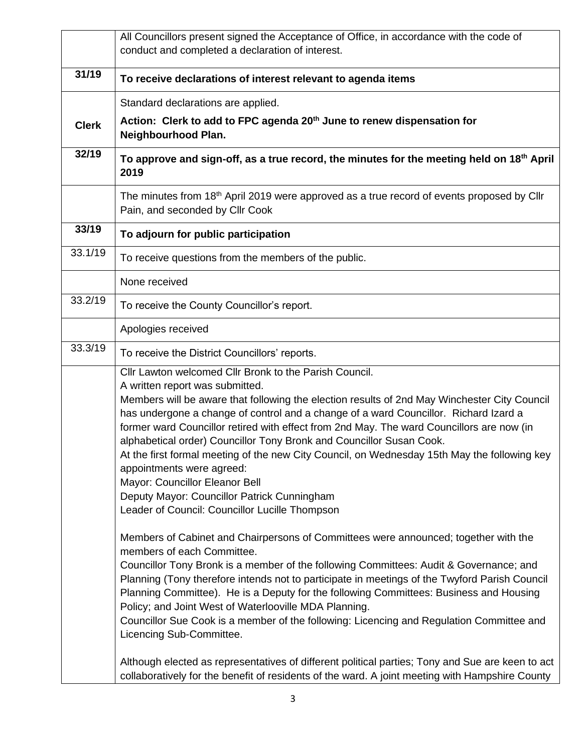|              | All Councillors present signed the Acceptance of Office, in accordance with the code of<br>conduct and completed a declaration of interest.                                                                                                                                                                                                                                                                                                                                                                                                                                                                                                                                                                                                                                                    |
|--------------|------------------------------------------------------------------------------------------------------------------------------------------------------------------------------------------------------------------------------------------------------------------------------------------------------------------------------------------------------------------------------------------------------------------------------------------------------------------------------------------------------------------------------------------------------------------------------------------------------------------------------------------------------------------------------------------------------------------------------------------------------------------------------------------------|
| 31/19        | To receive declarations of interest relevant to agenda items                                                                                                                                                                                                                                                                                                                                                                                                                                                                                                                                                                                                                                                                                                                                   |
|              | Standard declarations are applied.                                                                                                                                                                                                                                                                                                                                                                                                                                                                                                                                                                                                                                                                                                                                                             |
| <b>Clerk</b> | Action: Clerk to add to FPC agenda 20 <sup>th</sup> June to renew dispensation for<br>Neighbourhood Plan.                                                                                                                                                                                                                                                                                                                                                                                                                                                                                                                                                                                                                                                                                      |
| 32/19        | To approve and sign-off, as a true record, the minutes for the meeting held on 18 <sup>th</sup> April<br>2019                                                                                                                                                                                                                                                                                                                                                                                                                                                                                                                                                                                                                                                                                  |
|              | The minutes from 18 <sup>th</sup> April 2019 were approved as a true record of events proposed by Cllr<br>Pain, and seconded by Cllr Cook                                                                                                                                                                                                                                                                                                                                                                                                                                                                                                                                                                                                                                                      |
| 33/19        | To adjourn for public participation                                                                                                                                                                                                                                                                                                                                                                                                                                                                                                                                                                                                                                                                                                                                                            |
| 33.1/19      | To receive questions from the members of the public.                                                                                                                                                                                                                                                                                                                                                                                                                                                                                                                                                                                                                                                                                                                                           |
|              | None received                                                                                                                                                                                                                                                                                                                                                                                                                                                                                                                                                                                                                                                                                                                                                                                  |
| 33.2/19      | To receive the County Councillor's report.                                                                                                                                                                                                                                                                                                                                                                                                                                                                                                                                                                                                                                                                                                                                                     |
|              | Apologies received                                                                                                                                                                                                                                                                                                                                                                                                                                                                                                                                                                                                                                                                                                                                                                             |
| 33.3/19      | To receive the District Councillors' reports.                                                                                                                                                                                                                                                                                                                                                                                                                                                                                                                                                                                                                                                                                                                                                  |
|              | Cllr Lawton welcomed Cllr Bronk to the Parish Council.<br>A written report was submitted.<br>Members will be aware that following the election results of 2nd May Winchester City Council<br>has undergone a change of control and a change of a ward Councillor. Richard Izard a<br>former ward Councillor retired with effect from 2nd May. The ward Councillors are now (in<br>alphabetical order) Councillor Tony Bronk and Councillor Susan Cook.<br>At the first formal meeting of the new City Council, on Wednesday 15th May the following key<br>appointments were agreed:<br>Mayor: Councillor Eleanor Bell<br>Deputy Mayor: Councillor Patrick Cunningham<br>Leader of Council: Councillor Lucille Thompson                                                                         |
|              | Members of Cabinet and Chairpersons of Committees were announced; together with the<br>members of each Committee.<br>Councillor Tony Bronk is a member of the following Committees: Audit & Governance; and<br>Planning (Tony therefore intends not to participate in meetings of the Twyford Parish Council<br>Planning Committee). He is a Deputy for the following Committees: Business and Housing<br>Policy; and Joint West of Waterlooville MDA Planning.<br>Councillor Sue Cook is a member of the following: Licencing and Regulation Committee and<br>Licencing Sub-Committee.<br>Although elected as representatives of different political parties; Tony and Sue are keen to act<br>collaboratively for the benefit of residents of the ward. A joint meeting with Hampshire County |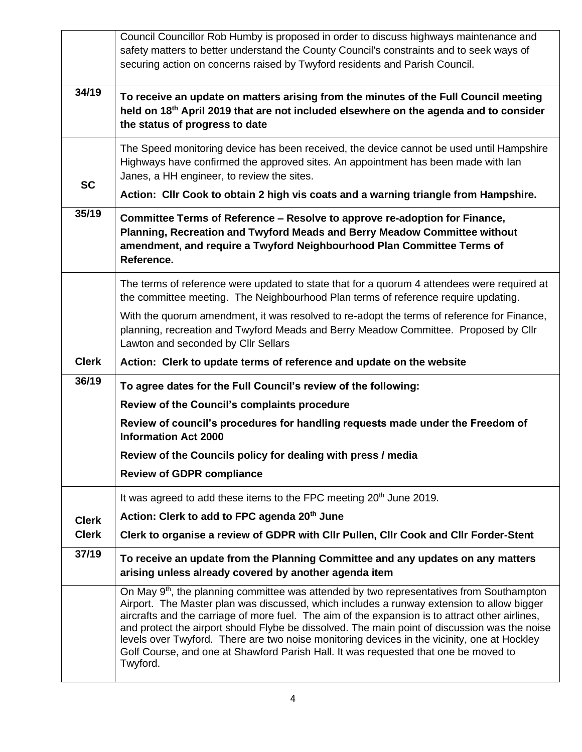|              | Council Councillor Rob Humby is proposed in order to discuss highways maintenance and<br>safety matters to better understand the County Council's constraints and to seek ways of<br>securing action on concerns raised by Twyford residents and Parish Council.                                                                                                                                                                                                                                                                                                                                        |
|--------------|---------------------------------------------------------------------------------------------------------------------------------------------------------------------------------------------------------------------------------------------------------------------------------------------------------------------------------------------------------------------------------------------------------------------------------------------------------------------------------------------------------------------------------------------------------------------------------------------------------|
| 34/19        | To receive an update on matters arising from the minutes of the Full Council meeting<br>held on 18th April 2019 that are not included elsewhere on the agenda and to consider<br>the status of progress to date                                                                                                                                                                                                                                                                                                                                                                                         |
| <b>SC</b>    | The Speed monitoring device has been received, the device cannot be used until Hampshire<br>Highways have confirmed the approved sites. An appointment has been made with lan<br>Janes, a HH engineer, to review the sites.                                                                                                                                                                                                                                                                                                                                                                             |
|              | Action: Cllr Cook to obtain 2 high vis coats and a warning triangle from Hampshire.                                                                                                                                                                                                                                                                                                                                                                                                                                                                                                                     |
| 35/19        | Committee Terms of Reference - Resolve to approve re-adoption for Finance,<br>Planning, Recreation and Twyford Meads and Berry Meadow Committee without<br>amendment, and require a Twyford Neighbourhood Plan Committee Terms of<br>Reference.                                                                                                                                                                                                                                                                                                                                                         |
|              | The terms of reference were updated to state that for a quorum 4 attendees were required at<br>the committee meeting. The Neighbourhood Plan terms of reference require updating.                                                                                                                                                                                                                                                                                                                                                                                                                       |
|              | With the quorum amendment, it was resolved to re-adopt the terms of reference for Finance,<br>planning, recreation and Twyford Meads and Berry Meadow Committee. Proposed by Cllr<br>Lawton and seconded by Cllr Sellars                                                                                                                                                                                                                                                                                                                                                                                |
| <b>Clerk</b> | Action: Clerk to update terms of reference and update on the website                                                                                                                                                                                                                                                                                                                                                                                                                                                                                                                                    |
| 36/19        | To agree dates for the Full Council's review of the following:                                                                                                                                                                                                                                                                                                                                                                                                                                                                                                                                          |
|              | Review of the Council's complaints procedure                                                                                                                                                                                                                                                                                                                                                                                                                                                                                                                                                            |
|              | Review of council's procedures for handling requests made under the Freedom of<br><b>Information Act 2000</b>                                                                                                                                                                                                                                                                                                                                                                                                                                                                                           |
|              | Review of the Councils policy for dealing with press / media                                                                                                                                                                                                                                                                                                                                                                                                                                                                                                                                            |
|              | <b>Review of GDPR compliance</b>                                                                                                                                                                                                                                                                                                                                                                                                                                                                                                                                                                        |
|              | It was agreed to add these items to the FPC meeting 20 <sup>th</sup> June 2019.                                                                                                                                                                                                                                                                                                                                                                                                                                                                                                                         |
| <b>Clerk</b> | Action: Clerk to add to FPC agenda 20th June                                                                                                                                                                                                                                                                                                                                                                                                                                                                                                                                                            |
| <b>Clerk</b> | Clerk to organise a review of GDPR with Cllr Pullen, Cllr Cook and Cllr Forder-Stent                                                                                                                                                                                                                                                                                                                                                                                                                                                                                                                    |
| 37/19        | To receive an update from the Planning Committee and any updates on any matters<br>arising unless already covered by another agenda item                                                                                                                                                                                                                                                                                                                                                                                                                                                                |
|              | On May 9 <sup>th</sup> , the planning committee was attended by two representatives from Southampton<br>Airport. The Master plan was discussed, which includes a runway extension to allow bigger<br>aircrafts and the carriage of more fuel. The aim of the expansion is to attract other airlines,<br>and protect the airport should Flybe be dissolved. The main point of discussion was the noise<br>levels over Twyford. There are two noise monitoring devices in the vicinity, one at Hockley<br>Golf Course, and one at Shawford Parish Hall. It was requested that one be moved to<br>Twyford. |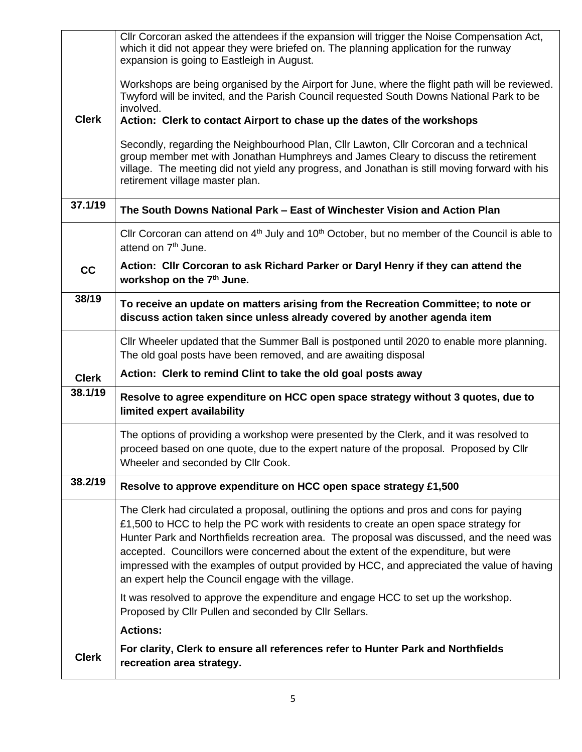|              | CIIr Corcoran asked the attendees if the expansion will trigger the Noise Compensation Act,<br>which it did not appear they were briefed on. The planning application for the runway<br>expansion is going to Eastleigh in August.                                                                                                                                                                                                                                                                                       |
|--------------|--------------------------------------------------------------------------------------------------------------------------------------------------------------------------------------------------------------------------------------------------------------------------------------------------------------------------------------------------------------------------------------------------------------------------------------------------------------------------------------------------------------------------|
|              | Workshops are being organised by the Airport for June, where the flight path will be reviewed.<br>Twyford will be invited, and the Parish Council requested South Downs National Park to be<br>involved.                                                                                                                                                                                                                                                                                                                 |
| <b>Clerk</b> | Action: Clerk to contact Airport to chase up the dates of the workshops                                                                                                                                                                                                                                                                                                                                                                                                                                                  |
|              | Secondly, regarding the Neighbourhood Plan, Cllr Lawton, Cllr Corcoran and a technical<br>group member met with Jonathan Humphreys and James Cleary to discuss the retirement<br>village. The meeting did not yield any progress, and Jonathan is still moving forward with his<br>retirement village master plan.                                                                                                                                                                                                       |
| 37.1/19      | The South Downs National Park – East of Winchester Vision and Action Plan                                                                                                                                                                                                                                                                                                                                                                                                                                                |
|              | Cllr Corcoran can attend on 4 <sup>th</sup> July and 10 <sup>th</sup> October, but no member of the Council is able to<br>attend on 7 <sup>th</sup> June.                                                                                                                                                                                                                                                                                                                                                                |
| cc           | Action: Cllr Corcoran to ask Richard Parker or Daryl Henry if they can attend the<br>workshop on the 7 <sup>th</sup> June.                                                                                                                                                                                                                                                                                                                                                                                               |
| 38/19        | To receive an update on matters arising from the Recreation Committee; to note or<br>discuss action taken since unless already covered by another agenda item                                                                                                                                                                                                                                                                                                                                                            |
|              | CIIr Wheeler updated that the Summer Ball is postponed until 2020 to enable more planning.<br>The old goal posts have been removed, and are awaiting disposal                                                                                                                                                                                                                                                                                                                                                            |
| <b>Clerk</b> | Action: Clerk to remind Clint to take the old goal posts away                                                                                                                                                                                                                                                                                                                                                                                                                                                            |
| 38.1/19      | Resolve to agree expenditure on HCC open space strategy without 3 quotes, due to<br>limited expert availability                                                                                                                                                                                                                                                                                                                                                                                                          |
|              | The options of providing a workshop were presented by the Clerk, and it was resolved to<br>proceed based on one quote, due to the expert nature of the proposal. Proposed by Cllr<br>Wheeler and seconded by Cllr Cook.                                                                                                                                                                                                                                                                                                  |
| 38.2/19      | Resolve to approve expenditure on HCC open space strategy £1,500                                                                                                                                                                                                                                                                                                                                                                                                                                                         |
|              | The Clerk had circulated a proposal, outlining the options and pros and cons for paying<br>£1,500 to HCC to help the PC work with residents to create an open space strategy for<br>Hunter Park and Northfields recreation area. The proposal was discussed, and the need was<br>accepted. Councillors were concerned about the extent of the expenditure, but were<br>impressed with the examples of output provided by HCC, and appreciated the value of having<br>an expert help the Council engage with the village. |
|              | It was resolved to approve the expenditure and engage HCC to set up the workshop.<br>Proposed by Cllr Pullen and seconded by Cllr Sellars.                                                                                                                                                                                                                                                                                                                                                                               |
|              | <b>Actions:</b>                                                                                                                                                                                                                                                                                                                                                                                                                                                                                                          |
| <b>Clerk</b> | For clarity, Clerk to ensure all references refer to Hunter Park and Northfields<br>recreation area strategy.                                                                                                                                                                                                                                                                                                                                                                                                            |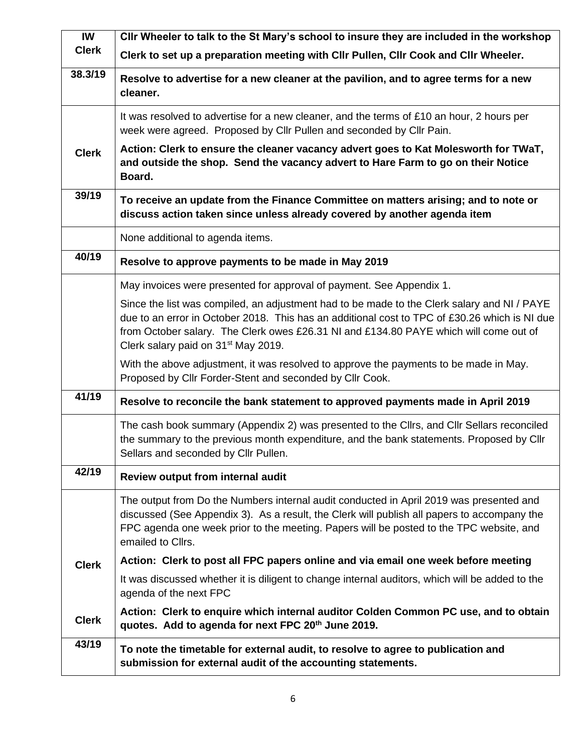| <b>IW</b>    | Cllr Wheeler to talk to the St Mary's school to insure they are included in the workshop                                                                                                                                                                                                                                                 |
|--------------|------------------------------------------------------------------------------------------------------------------------------------------------------------------------------------------------------------------------------------------------------------------------------------------------------------------------------------------|
| <b>Clerk</b> | Clerk to set up a preparation meeting with Cllr Pullen, Cllr Cook and Cllr Wheeler.                                                                                                                                                                                                                                                      |
| 38.3/19      | Resolve to advertise for a new cleaner at the pavilion, and to agree terms for a new<br>cleaner.                                                                                                                                                                                                                                         |
|              | It was resolved to advertise for a new cleaner, and the terms of £10 an hour, 2 hours per<br>week were agreed. Proposed by Cllr Pullen and seconded by Cllr Pain.                                                                                                                                                                        |
| <b>Clerk</b> | Action: Clerk to ensure the cleaner vacancy advert goes to Kat Molesworth for TWaT,<br>and outside the shop. Send the vacancy advert to Hare Farm to go on their Notice<br>Board.                                                                                                                                                        |
| 39/19        | To receive an update from the Finance Committee on matters arising; and to note or<br>discuss action taken since unless already covered by another agenda item                                                                                                                                                                           |
|              | None additional to agenda items.                                                                                                                                                                                                                                                                                                         |
| 40/19        | Resolve to approve payments to be made in May 2019                                                                                                                                                                                                                                                                                       |
|              | May invoices were presented for approval of payment. See Appendix 1.                                                                                                                                                                                                                                                                     |
|              | Since the list was compiled, an adjustment had to be made to the Clerk salary and NI / PAYE<br>due to an error in October 2018. This has an additional cost to TPC of £30.26 which is NI due<br>from October salary. The Clerk owes £26.31 NI and £134.80 PAYE which will come out of<br>Clerk salary paid on 31 <sup>st</sup> May 2019. |
|              | With the above adjustment, it was resolved to approve the payments to be made in May.<br>Proposed by Cllr Forder-Stent and seconded by Cllr Cook.                                                                                                                                                                                        |
| 41/19        | Resolve to reconcile the bank statement to approved payments made in April 2019                                                                                                                                                                                                                                                          |
|              | The cash book summary (Appendix 2) was presented to the Cllrs, and Cllr Sellars reconciled<br>the summary to the previous month expenditure, and the bank statements. Proposed by Cllr<br>Sellars and seconded by Cllr Pullen.                                                                                                           |
| 42/19        | Review output from internal audit                                                                                                                                                                                                                                                                                                        |
|              | The output from Do the Numbers internal audit conducted in April 2019 was presented and<br>discussed (See Appendix 3). As a result, the Clerk will publish all papers to accompany the<br>FPC agenda one week prior to the meeting. Papers will be posted to the TPC website, and<br>emailed to Cllrs.                                   |
| <b>Clerk</b> | Action: Clerk to post all FPC papers online and via email one week before meeting                                                                                                                                                                                                                                                        |
|              | It was discussed whether it is diligent to change internal auditors, which will be added to the<br>agenda of the next FPC                                                                                                                                                                                                                |
| <b>Clerk</b> | Action: Clerk to enquire which internal auditor Colden Common PC use, and to obtain<br>quotes. Add to agenda for next FPC 20 <sup>th</sup> June 2019.                                                                                                                                                                                    |
| 43/19        | To note the timetable for external audit, to resolve to agree to publication and<br>submission for external audit of the accounting statements.                                                                                                                                                                                          |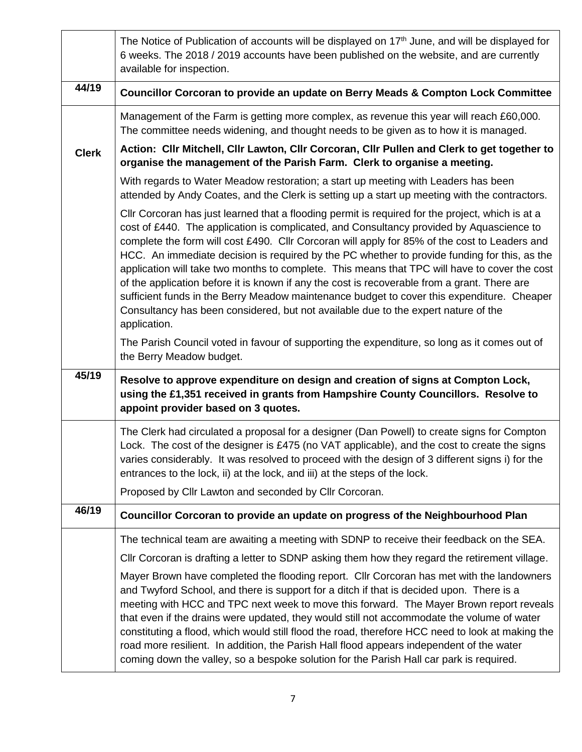|              | The Notice of Publication of accounts will be displayed on 17 <sup>th</sup> June, and will be displayed for<br>6 weeks. The 2018 / 2019 accounts have been published on the website, and are currently<br>available for inspection.                                                                                                                                                                                                                                                                                                                                                                                                                                                                                                                                                                |
|--------------|----------------------------------------------------------------------------------------------------------------------------------------------------------------------------------------------------------------------------------------------------------------------------------------------------------------------------------------------------------------------------------------------------------------------------------------------------------------------------------------------------------------------------------------------------------------------------------------------------------------------------------------------------------------------------------------------------------------------------------------------------------------------------------------------------|
| 44/19        | Councillor Corcoran to provide an update on Berry Meads & Compton Lock Committee                                                                                                                                                                                                                                                                                                                                                                                                                                                                                                                                                                                                                                                                                                                   |
|              | Management of the Farm is getting more complex, as revenue this year will reach £60,000.<br>The committee needs widening, and thought needs to be given as to how it is managed.                                                                                                                                                                                                                                                                                                                                                                                                                                                                                                                                                                                                                   |
| <b>Clerk</b> | Action: Cllr Mitchell, Cllr Lawton, Cllr Corcoran, Cllr Pullen and Clerk to get together to<br>organise the management of the Parish Farm. Clerk to organise a meeting.                                                                                                                                                                                                                                                                                                                                                                                                                                                                                                                                                                                                                            |
|              | With regards to Water Meadow restoration; a start up meeting with Leaders has been<br>attended by Andy Coates, and the Clerk is setting up a start up meeting with the contractors.                                                                                                                                                                                                                                                                                                                                                                                                                                                                                                                                                                                                                |
|              | CIIr Corcoran has just learned that a flooding permit is required for the project, which is at a<br>cost of £440. The application is complicated, and Consultancy provided by Aquascience to<br>complete the form will cost £490. Cllr Corcoran will apply for 85% of the cost to Leaders and<br>HCC. An immediate decision is required by the PC whether to provide funding for this, as the<br>application will take two months to complete. This means that TPC will have to cover the cost<br>of the application before it is known if any the cost is recoverable from a grant. There are<br>sufficient funds in the Berry Meadow maintenance budget to cover this expenditure. Cheaper<br>Consultancy has been considered, but not available due to the expert nature of the<br>application. |
|              | The Parish Council voted in favour of supporting the expenditure, so long as it comes out of<br>the Berry Meadow budget.                                                                                                                                                                                                                                                                                                                                                                                                                                                                                                                                                                                                                                                                           |
| 45/19        | Resolve to approve expenditure on design and creation of signs at Compton Lock,<br>using the £1,351 received in grants from Hampshire County Councillors. Resolve to<br>appoint provider based on 3 quotes.                                                                                                                                                                                                                                                                                                                                                                                                                                                                                                                                                                                        |
|              | The Clerk had circulated a proposal for a designer (Dan Powell) to create signs for Compton<br>Lock. The cost of the designer is £475 (no VAT applicable), and the cost to create the signs<br>varies considerably. It was resolved to proceed with the design of 3 different signs i) for the<br>entrances to the lock, ii) at the lock, and iii) at the steps of the lock.                                                                                                                                                                                                                                                                                                                                                                                                                       |
| 46/19        | Proposed by Cllr Lawton and seconded by Cllr Corcoran.                                                                                                                                                                                                                                                                                                                                                                                                                                                                                                                                                                                                                                                                                                                                             |
|              | Councillor Corcoran to provide an update on progress of the Neighbourhood Plan                                                                                                                                                                                                                                                                                                                                                                                                                                                                                                                                                                                                                                                                                                                     |
|              | The technical team are awaiting a meeting with SDNP to receive their feedback on the SEA.                                                                                                                                                                                                                                                                                                                                                                                                                                                                                                                                                                                                                                                                                                          |
|              | CIIr Corcoran is drafting a letter to SDNP asking them how they regard the retirement village.<br>Mayer Brown have completed the flooding report. Cllr Corcoran has met with the landowners<br>and Twyford School, and there is support for a ditch if that is decided upon. There is a<br>meeting with HCC and TPC next week to move this forward. The Mayer Brown report reveals<br>that even if the drains were updated, they would still not accommodate the volume of water<br>constituting a flood, which would still flood the road, therefore HCC need to look at making the<br>road more resilient. In addition, the Parish Hall flood appears independent of the water<br>coming down the valley, so a bespoke solution for the Parish Hall car park is required.                        |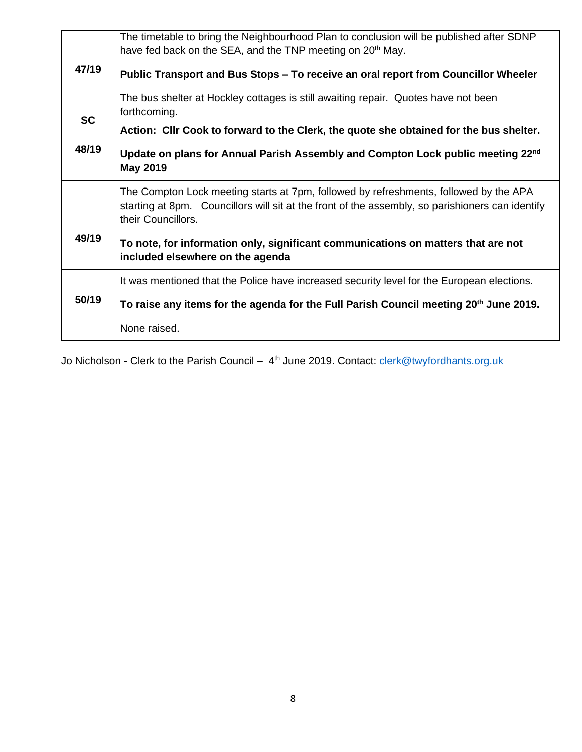|           | The timetable to bring the Neighbourhood Plan to conclusion will be published after SDNP<br>have fed back on the SEA, and the TNP meeting on 20 <sup>th</sup> May.                                              |
|-----------|-----------------------------------------------------------------------------------------------------------------------------------------------------------------------------------------------------------------|
| 47/19     | Public Transport and Bus Stops – To receive an oral report from Councillor Wheeler                                                                                                                              |
| <b>SC</b> | The bus shelter at Hockley cottages is still awaiting repair. Quotes have not been<br>forthcoming.<br>Action: Cllr Cook to forward to the Clerk, the quote she obtained for the bus shelter.                    |
| 48/19     | Update on plans for Annual Parish Assembly and Compton Lock public meeting 22 <sup>nd</sup><br><b>May 2019</b>                                                                                                  |
|           | The Compton Lock meeting starts at 7pm, followed by refreshments, followed by the APA<br>starting at 8pm. Councillors will sit at the front of the assembly, so parishioners can identify<br>their Councillors. |
| 49/19     | To note, for information only, significant communications on matters that are not<br>included elsewhere on the agenda                                                                                           |
|           | It was mentioned that the Police have increased security level for the European elections.                                                                                                                      |
| 50/19     | To raise any items for the agenda for the Full Parish Council meeting 20 <sup>th</sup> June 2019.                                                                                                               |
|           | None raised.                                                                                                                                                                                                    |

Jo Nicholson - Clerk to the Parish Council – 4<sup>th</sup> June 2019. Contact: [clerk@twyfordhants.org.uk](mailto:clerk@twyfordhants.org.uk)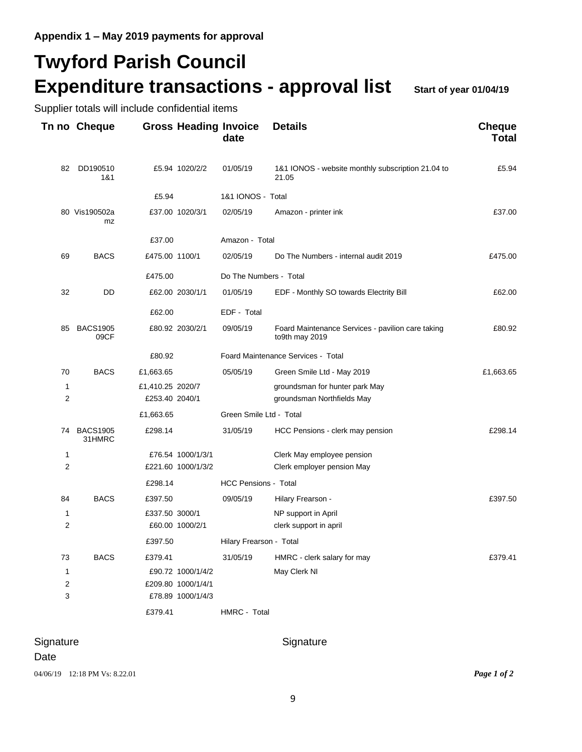Supplier totals will include confidential items

## **Twyford Parish Council Expenditure transactions - approval list Start of year 01/04/19**

**Tn no Cheque Gross Heading Invoice Details Cheque date Total** 82 DD190510 £5.94 1020/2/2 01/05/19 1&1 IONOS - website monthly subscription 21.04 to £5.94 1&1 21.05 £5.94 1&1 IONOS - Total 80 Vis190502a £37.00 1020/3/1 02/05/19 Amazon - printer ink £37.00 mz £37.00 Amazon - Total 69 BACS £475.00 1100/1 02/05/19 Do The Numbers - internal audit 2019 £475.00 £475.00 Do The Numbers - Total 32 DD £62.00 2030/1/1 01/05/19 EDF - Monthly SO towards Electrity Bill £62.00 £62.00 EDF - Total 85 BACS1905  $\leq 80.92$  2030/2/1 09/05/19 Foard Maintenance Services - pavilion care taking  $\leq 280.92$  fo<sup>9th</sup> may 2019 to9th may 2019 £80.92 Foard Maintenance Services - Total 70 BACS £1,663.65 05/05/19 Green Smile Ltd - May 2019 £1,663.65 1 £1,410.25 2020/7 groundsman for hunter park May 2 £253.40 2040/1 groundsman Northfields May £1,663.65 Green Smile Ltd - Total 74 BACS1905 £298.14 31/05/19 HCC Pensions - clerk may pension £298.14 31HMRC 1 £76.54 1000/1/3/1 Clerk May employee pension 2 £221.60 1000/1/3/2 Clerk employer pension May £298.14 HCC Pensions - Total 84 BACS £397.50 09/05/19 Hilary Frearson - 2001 100 2015/19 1 £337.50 3000/1 NP support in April 2 £60.00 1000/2/1 clerk support in april £397.50 Hilary Frearson - Total 73 BACS £379.41 31/05/19 HMRC - clerk salary for may £379.41 1 £90.72 1000/1/4/2 May Clerk NI 2 £209.80 1000/1/4/1 3 £78.89 1000/1/4/3 £379.41 HMRC - Total

Signature Signature Signature Signature

Date 04/06/19 12:18 PM Vs: 8.22.01 *Page 1 of 2*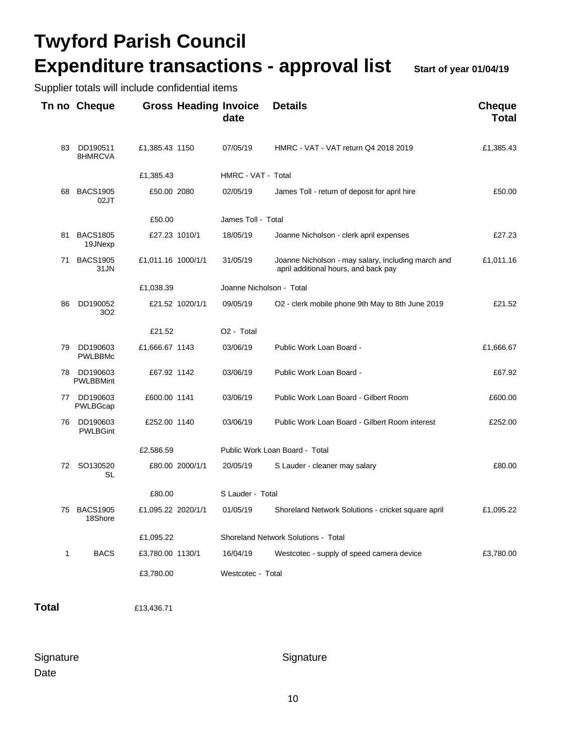# **Twyford Parish Council Expenditure transactions - approval list** Start of year 01/04/19

Supplier totals will include confidential items

|              | Tn no Cheque                 |                    | <b>Gross Heading Invoice</b> | date                     | <b>Details</b>                                                                             | <b>Cheque</b><br><b>Total</b> |
|--------------|------------------------------|--------------------|------------------------------|--------------------------|--------------------------------------------------------------------------------------------|-------------------------------|
| 83           | DD190511<br>8HMRCVA          | £1,385.43 1150     |                              | 07/05/19                 | HMRC - VAT - VAT return Q4 2018 2019                                                       | £1,385.43                     |
|              |                              | £1,385.43          |                              | HMRC - VAT - Total       |                                                                                            |                               |
| 68           | <b>BACS1905</b><br>02JT      | £50.00 2080        |                              | 02/05/19                 | James Toll - return of deposit for april hire                                              | £50.00                        |
|              |                              | £50.00             |                              | James Toll - Total       |                                                                                            |                               |
| 81           | <b>BACS1805</b><br>19JNexp   | £27.23 1010/1      |                              | 18/05/19                 | Joanne Nicholson - clerk april expenses                                                    | £27.23                        |
| 71           | <b>BACS1905</b><br>31JN      | £1,011.16 1000/1/1 |                              | 31/05/19                 | Joanne Nicholson - may salary, including march and<br>april additional hours, and back pay | £1,011.16                     |
|              |                              | £1,038.39          |                              | Joanne Nicholson - Total |                                                                                            |                               |
| 86           | DD190052<br>302              |                    | £21.52 1020/1/1              | 09/05/19                 | O2 - clerk mobile phone 9th May to 8th June 2019                                           | £21.52                        |
|              |                              | £21.52             |                              | O <sub>2</sub> - Total   |                                                                                            |                               |
| 79           | DD190603<br><b>PWLBBMc</b>   | £1,666.67 1143     |                              | 03/06/19                 | Public Work Loan Board -                                                                   | £1,666.67                     |
| 78           | DD190603<br><b>PWLBBMint</b> | £67.92 1142        |                              | 03/06/19                 | Public Work Loan Board -                                                                   | £67.92                        |
| 77           | DD190603<br>PWLBGcap         | £600.00 1141       |                              | 03/06/19                 | Public Work Loan Board - Gilbert Room                                                      | £600.00                       |
| 76           | DD190603<br><b>PWLBGint</b>  | £252.00 1140       |                              | 03/06/19                 | Public Work Loan Board - Gilbert Room interest                                             | £252.00                       |
|              |                              | £2,586.59          |                              |                          | Public Work Loan Board - Total                                                             |                               |
|              | 72 SO130520<br>SL            |                    | £80.00 2000/1/1              | 20/05/19                 | S Lauder - cleaner may salary                                                              | £80.00                        |
|              |                              | £80.00             |                              | S Lauder - Total         |                                                                                            |                               |
| 75           | <b>BACS1905</b><br>18Shore   | £1,095.22 2020/1/1 |                              | 01/05/19                 | Shoreland Network Solutions - cricket square april                                         | £1,095.22                     |
|              |                              | £1,095.22          |                              |                          | <b>Shoreland Network Solutions - Total</b>                                                 |                               |
| $\mathbf{1}$ | <b>BACS</b>                  | £3,780.00 1130/1   |                              | 16/04/19                 | Westcotec - supply of speed camera device                                                  | £3,780.00                     |
|              |                              | £3,780.00          |                              | Westcotec - Total        |                                                                                            |                               |

**Total** £13,436.71

Signature Signature Signature Signature Date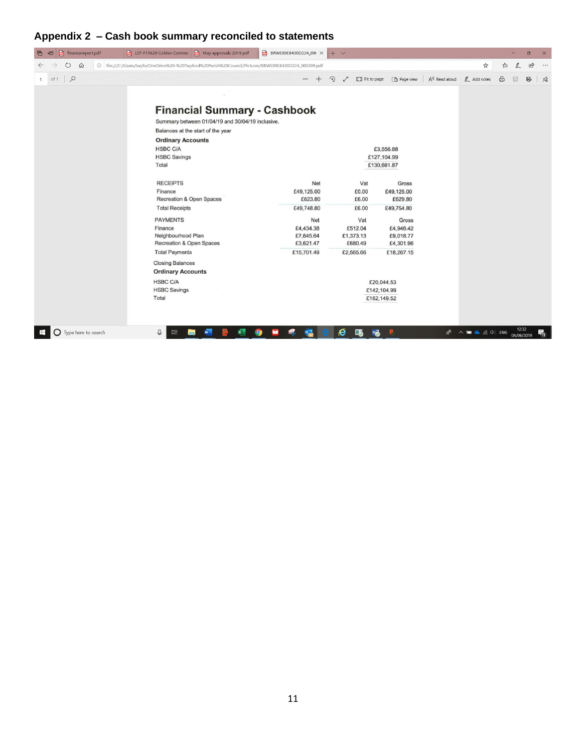### **Appendix 2 – Cash book summary reconciled to statements**

| $\blacksquare$<br>financereport.pdf<br>后<br>日 | LST P11629 Colden Commo <b>D</b> May approvals 2019.pdf                                                | BRWE89EB430D224_00( $\times$ | $+$ $\times$                 |                                            |                                                                                           | $\Box$<br>$\times$                |
|-----------------------------------------------|--------------------------------------------------------------------------------------------------------|------------------------------|------------------------------|--------------------------------------------|-------------------------------------------------------------------------------------------|-----------------------------------|
| $\circ$<br>$\Omega$                           | ① file:///C:/Users/twyfo/OneDrive%20-%20Twyford%20Parish%20Council/Pictures/BRWE89EB430D224_000309.pdf |                              |                              |                                            | ☆                                                                                         | $\vec{B}$<br>$\cdots$             |
| $\alpha$<br>of 1<br>1                         |                                                                                                        |                              | ⊙<br>$\Box$ Fit to page<br>╱ | $A^{\prime\prime}$ Read aloud<br>Page view | $\mathbb{Z}$ Add notes                                                                    | 咼<br>P,<br>$\times$<br>$\boxplus$ |
|                                               |                                                                                                        |                              |                              |                                            |                                                                                           |                                   |
|                                               |                                                                                                        |                              |                              |                                            |                                                                                           |                                   |
|                                               | <b>Financial Summary - Cashbook</b>                                                                    |                              |                              |                                            |                                                                                           |                                   |
|                                               | Summary between 01/04/19 and 30/04/19 inclusive.                                                       |                              |                              |                                            |                                                                                           |                                   |
|                                               | Balances at the start of the year                                                                      |                              |                              |                                            |                                                                                           |                                   |
|                                               | <b>Ordinary Accounts</b>                                                                               |                              |                              |                                            |                                                                                           |                                   |
|                                               | <b>HSBC C/A</b>                                                                                        |                              |                              | £3,556.88                                  |                                                                                           |                                   |
|                                               | <b>HSBC Savings</b>                                                                                    |                              |                              | £127,104.99                                |                                                                                           |                                   |
|                                               | Total                                                                                                  |                              |                              | £130,661.87                                |                                                                                           |                                   |
|                                               |                                                                                                        |                              |                              |                                            |                                                                                           |                                   |
|                                               | <b>RECEIPTS</b>                                                                                        | Net                          | Vat                          | Gross                                      |                                                                                           |                                   |
|                                               | Finance                                                                                                | £49,125.00                   | £0.00                        | £49,125.00                                 |                                                                                           |                                   |
|                                               | Recreation & Open Spaces                                                                               | £623.80                      | £6.00                        | £629.80                                    |                                                                                           |                                   |
|                                               | <b>Total Receipts</b>                                                                                  | £49,748.80                   | £6.00                        | £49,754.80                                 |                                                                                           |                                   |
|                                               | <b>PAYMENTS</b>                                                                                        | Net                          | Vat                          | Gross                                      |                                                                                           |                                   |
|                                               | Finance                                                                                                | £4,434.38                    | £512.04                      | £4,946.42                                  |                                                                                           |                                   |
|                                               | Neighbourhood Plan                                                                                     | £7,645.64                    | £1,373.13                    | £9,018.77                                  |                                                                                           |                                   |
|                                               | Recreation & Open Spaces                                                                               | £3,621.47                    | £680.49                      | £4,301.96                                  |                                                                                           |                                   |
|                                               | <b>Total Payments</b>                                                                                  | £15,701.49                   | £2,565.66                    | £18,267.15                                 |                                                                                           |                                   |
|                                               | <b>Closing Balances</b>                                                                                |                              |                              |                                            |                                                                                           |                                   |
|                                               | <b>Ordinary Accounts</b>                                                                               |                              |                              |                                            |                                                                                           |                                   |
|                                               | <b>HSBC C/A</b>                                                                                        |                              |                              | £20,044.53                                 |                                                                                           |                                   |
|                                               | <b>HSBC Savings</b>                                                                                    |                              |                              | £142,104.99                                |                                                                                           |                                   |
|                                               | Total                                                                                                  |                              |                              | £162,149.52                                |                                                                                           |                                   |
|                                               |                                                                                                        |                              |                              |                                            |                                                                                           |                                   |
|                                               |                                                                                                        |                              |                              |                                            |                                                                                           |                                   |
|                                               |                                                                                                        |                              |                              |                                            |                                                                                           |                                   |
| $\bigcirc$ Type here to search<br>æ           | ⊕<br>Ei<br>Гm                                                                                          |                              | e<br>屬<br>wm<br>             | P.                                         | $R^2 \wedge \blacksquare$ $\blacksquare$ $\blacksquare$ $\blacksquare$ $\blacksquare$ ENG | 12:32<br>唏<br>04/06/2019          |